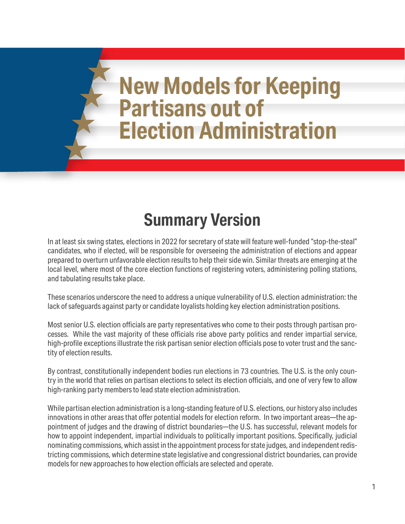# **New Models for Keeping Partisans out of Election Administration**

# **Summary Version**

In at least six swing states, elections in 2022 for secretary of state will feature well-funded "stop-the-steal" candidates, who if elected, will be responsible for overseeing the administration of elections and appear prepared to overturn unfavorable election results to help their side win. Similar threats are emerging at the local level, where most of the core election functions of registering voters, administering polling stations, and tabulating results take place.

These scenarios underscore the need to address a unique vulnerability of U.S. election administration: the lack of safeguards against party or candidate loyalists holding key election administration positions.

Most senior U.S. election officials are party representatives who come to their posts through partisan processes. While the vast majority of these officials rise above party politics and render impartial service, high-profile exceptions illustrate the risk partisan senior election officials pose to voter trust and the sanctity of election results.

By contrast, constitutionally independent bodies run elections in 73 countries. The U.S. is the only country in the world that relies on partisan elections to select its election officials, and one of very few to allow high-ranking party members to lead state election administration.

While partisan election administration is a long-standing feature of U.S. elections, our history also includes innovations in other areas that offer potential models for election reform. In two important areas—the appointment of judges and the drawing of district boundaries—the U.S. has successful, relevant models for how to appoint independent, impartial individuals to politically important positions. Specifically, judicial nominating commissions, which assist in the appointment process for state judges, and independent redistricting commissions, which determine state legislative and congressional district boundaries, can provide models for new approaches to how election officials are selected and operate.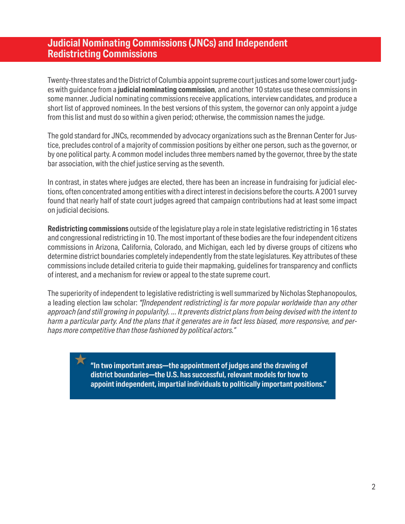#### **Judicial Nominating Commissions (JNCs) and Independent Redistricting Commissions**

Twenty-three states and the District of Columbia appoint supreme court justices and some lower court judges with guidance from a **judicial nominating commission**, and another 10 states use these commissions in some manner. Judicial nominating commissions receive applications, interview candidates, and produce a short list of approved nominees. In the best versions of this system, the governor can only appoint a judge from this list and must do so within a given period; otherwise, the commission names the judge.

The gold standard for JNCs, recommended by advocacy organizations such as the Brennan Center for Justice, precludes control of a majority of commission positions by either one person, such as the governor, or by one political party. A common model includes three members named by the governor, three by the state bar association, with the chief justice serving as the seventh.

In contrast, in states where judges are elected, there has been an increase in fundraising for judicial elections, often concentrated among entities with a direct interest in decisions before the courts. A 2001 survey found that nearly half of state court judges agreed that campaign contributions had at least some impact on judicial decisions.

**Redistricting commissions** outside of the legislature play a role in state legislative redistricting in 16 states and congressional redistricting in 10. The most important of these bodies are the four independent citizens commissions in Arizona, California, Colorado, and Michigan, each led by diverse groups of citizens who determine district boundaries completely independently from the state legislatures. Key attributes of these commissions include detailed criteria to guide their mapmaking, guidelines for transparency and conflicts of interest, and a mechanism for review or appeal to the state supreme court.

The superiority of independent to legislative redistricting is well summarized by Nicholas Stephanopoulos, a leading election law scholar: *"[Independent redistricting] is far more popular worldwide than any other approach (and still growing in popularity). ... It prevents district plans from being devised with the intent to harm a particular party. And the plans that it generates are in fact less biased, more responsive, and perhaps more competitive than those fashioned by political actors."* 

> **"In two important areas—the appointment of judges and the drawing of district boundaries—the U.S. has successful, relevant models for how to appoint independent, impartial individuals to politically important positions."**